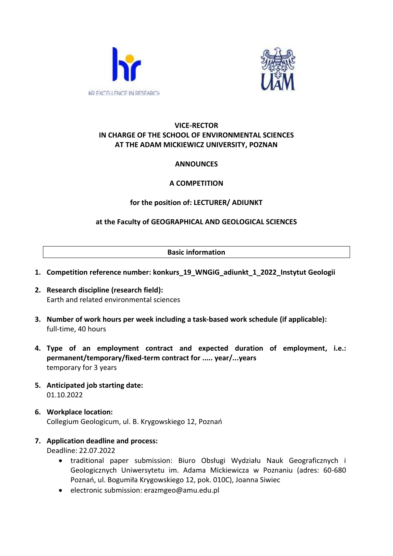



# **VICE-RECTOR IN CHARGE OF THE SCHOOL OF ENVIRONMENTAL SCIENCES AT THE ADAM MICKIEWICZ UNIVERSITY, POZNAN**

# **ANNOUNCES**

# **A COMPETITION**

# **for the position of: LECTURER/ ADIUNKT**

# **at the Faculty of GEOGRAPHICAL AND GEOLOGICAL SCIENCES**

#### **Basic information**

- **1. Competition reference number: konkurs\_19\_WNGiG\_adiunkt\_1\_2022\_Instytut Geologii**
- **2. Research discipline (research field):**  Earth and related environmental sciences
- **3. Number of work hours per week including a task-based work schedule (if applicable):**  full-time, 40 hours
- **4. Type of an employment contract and expected duration of employment, i.e.: permanent/temporary/fixed-term contract for ..... year/...years** temporary for 3 years
- **5. Anticipated job starting date:** 01.10.2022
- **6. Workplace location:** Collegium Geologicum, ul. B. Krygowskiego 12, Poznań
- **7. Application deadline and process:**

Deadline: 22.07.2022

- traditional paper submission: Biuro Obsługi Wydziału Nauk Geograficznych i Geologicznych Uniwersytetu im. Adama Mickiewicza w Poznaniu (adres: 60-680 Poznań, ul. Bogumiła Krygowskiego 12, pok. 010C), Joanna Siwiec
- electronic submission: erazmgeo@amu.edu.pl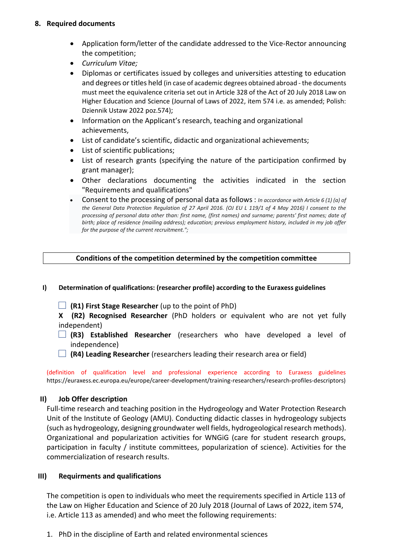### **8. Required documents**

- Application form/letter of the candidate addressed to the Vice-Rector announcing the competition;
- *Curriculum Vitae;*
- Diplomas or certificates issued by colleges and universities attesting to education and degrees or titles held (in case of academic degrees obtained abroad - the documents must meet the equivalence criteria set out in Article 328 of the Act of 20 July 2018 Law on Higher Education and Science (Journal of Laws of 2022, item 574 i.e. as amended; Polish: Dziennik Ustaw 2022 poz.574);
- Information on the Applicant's research, teaching and organizational achievements,
- List of candidate's scientific, didactic and organizational achievements;
- List of scientific publications;
- List of research grants (specifying the nature of the participation confirmed by grant manager);
- Other declarations documenting the activities indicated in the section "Requirements and qualifications"
- Consent to the processing of personal data as follows : *In accordance with Article 6 (1) (a) of the General Data Protection Regulation of 27 April 2016. (OJ EU L 119/1 of 4 May 2016) I consent to the processing of personal data other than: first name, (first names) and surname; parents' first names; date of birth; place of residence (mailing address); education; previous employment history, included in my job offer for the purpose of the current recruitment.";*

## **Conditions of the competition determined by the competition committee**

- **I) Determination of qualifications: (researcher profile) according to the Euraxess guidelines**
	- **(R1) First Stage Researcher** (up to the point of PhD)

**X (R2) Recognised Researcher** (PhD holders or equivalent who are not yet fully independent)

- **(R3) Established Researcher** (researchers who have developed a level of independence)
- **(R4) Leading Researcher** (researchers leading their research area or field)

(definition of qualification level and professional experience according to Euraxess guidelines https://euraxess.ec.europa.eu/europe/career-development/training-researchers/research-profiles-descriptors)

## **II) Job Offer description**

Full-time research and teaching position in the Hydrogeology and Water Protection Research Unit of the Institute of Geology (AMU). Conducting didactic classes in hydrogeology subjects (such as hydrogeology, designing groundwater well fields, hydrogeological research methods). Organizational and popularization activities for WNGiG (care for student research groups, participation in faculty / institute committees, popularization of science). Activities for the commercialization of research results.

## **III) Requirments and qualifications**

The competition is open to individuals who meet the requirements specified in Article 113 of the Law on Higher Education and Science of 20 July 2018 (Journal of Laws of 2022, item 574, i.e. Article 113 as amended) and who meet the following requirements:

1. PhD in the discipline of Earth and related environmental sciences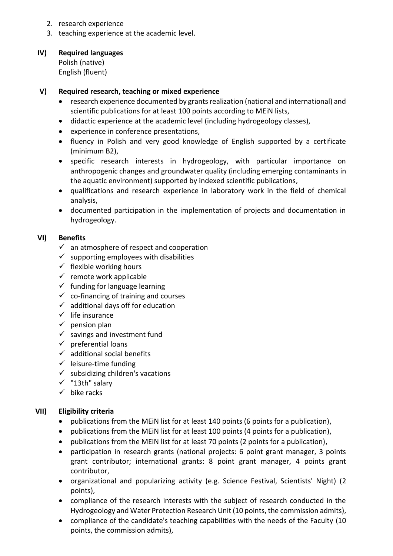- 2. research experience
- 3. teaching experience at the academic level.

#### **IV) Required languages**

Polish (native) English (fluent)

### **V) Required research, teaching or mixed experience**

- research experience documented by grants realization (national and international) and scientific publications for at least 100 points according to MEiN lists,
- didactic experience at the academic level (including hydrogeology classes),
- experience in conference presentations,
- fluency in Polish and very good knowledge of English supported by a certificate (minimum B2),
- specific research interests in hydrogeology, with particular importance on anthropogenic changes and groundwater quality (including emerging contaminants in the aquatic environment) supported by indexed scientific publications,
- qualifications and research experience in laboratory work in the field of chemical analysis,
- documented participation in the implementation of projects and documentation in hydrogeology.

#### **VI) Benefits**

- $\checkmark$  an atmosphere of respect and cooperation
- $\checkmark$  supporting employees with disabilities
- $\checkmark$  flexible working hours
- $\checkmark$  remote work applicable
- $\checkmark$  funding for language learning
- $\checkmark$  co-financing of training and courses
- $\checkmark$  additional days off for education
- $\checkmark$  life insurance
- $\checkmark$  pension plan
- $\checkmark$  savings and investment fund
- $\checkmark$  preferential loans
- $\checkmark$  additional social benefits
- $\checkmark$  leisure-time funding
- $\checkmark$  subsidizing children's vacations
- ✓ "13th" salary
- $\checkmark$  bike racks

#### **VII) Eligibility criteria**

- publications from the MEiN list for at least 140 points (6 points for a publication),
- publications from the MEiN list for at least 100 points (4 points for a publication),
- publications from the MEiN list for at least 70 points (2 points for a publication),
- participation in research grants (national projects: 6 point grant manager, 3 points grant contributor; international grants: 8 point grant manager, 4 points grant contributor,
- organizational and popularizing activity (e.g. Science Festival, Scientists' Night) (2 points),
- compliance of the research interests with the subject of research conducted in the Hydrogeology and Water Protection Research Unit (10 points, the commission admits),
- compliance of the candidate's teaching capabilities with the needs of the Faculty (10 points, the commission admits),